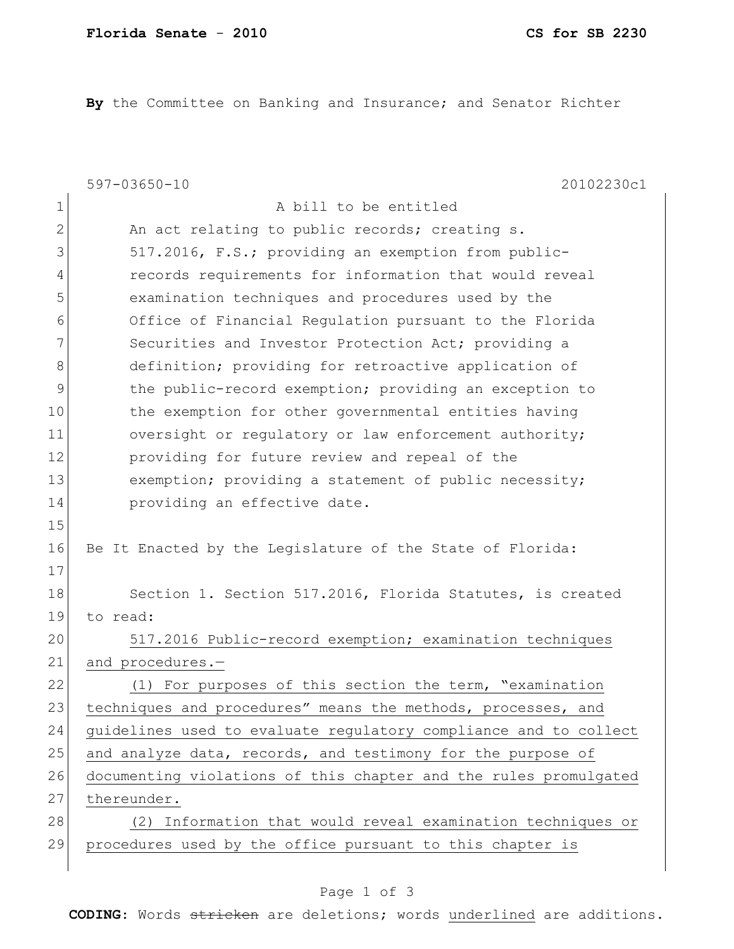**By** the Committee on Banking and Insurance; and Senator Richter

|              | $597 - 03650 - 10$<br>20102230c1                                 |
|--------------|------------------------------------------------------------------|
| 1            | A bill to be entitled                                            |
| $\mathbf{2}$ | An act relating to public records; creating s.                   |
| 3            | 517.2016, F.S.; providing an exemption from public-              |
| 4            | records requirements for information that would reveal           |
| 5            | examination techniques and procedures used by the                |
| 6            | Office of Financial Regulation pursuant to the Florida           |
| 7            | Securities and Investor Protection Act; providing a              |
| 8            | definition; providing for retroactive application of             |
| 9            | the public-record exemption; providing an exception to           |
| 10           | the exemption for other governmental entities having             |
| 11           | oversight or regulatory or law enforcement authority;            |
| 12           | providing for future review and repeal of the                    |
| 13           | exemption; providing a statement of public necessity;            |
| 14           | providing an effective date.                                     |
| 15           |                                                                  |
| 16           | Be It Enacted by the Legislature of the State of Florida:        |
| 17           |                                                                  |
| 18           | Section 1. Section 517.2016, Florida Statutes, is created        |
| 19           | to read:                                                         |
| 20           | 517.2016 Public-record exemption; examination techniques         |
| 21           | and procedures.-                                                 |
| 22           | (1) For purposes of this section the term, "examination          |
| 23           | techniques and procedures" means the methods, processes, and     |
| 24           | quidelines used to evaluate requlatory compliance and to collect |
| 25           | and analyze data, records, and testimony for the purpose of      |
| 26           | documenting violations of this chapter and the rules promulgated |
| 27           | thereunder.                                                      |
| 28           | (2) Information that would reveal examination techniques or      |
| 29           | procedures used by the office pursuant to this chapter is        |
|              |                                                                  |

## Page 1 of 3

**CODING**: Words stricken are deletions; words underlined are additions.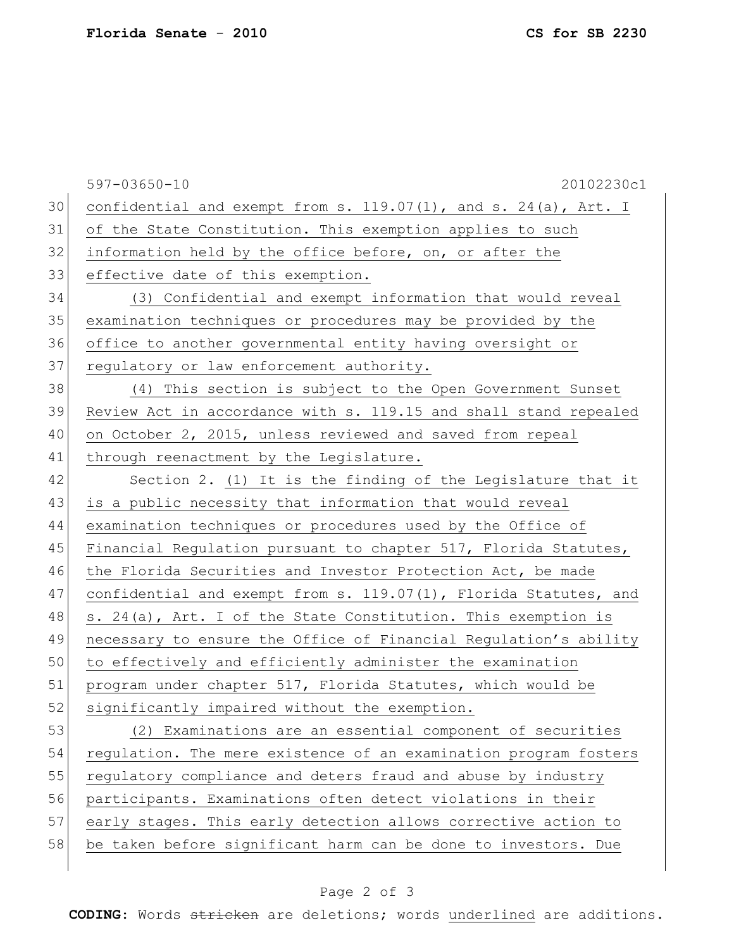|    | $597 - 03650 - 10$<br>20102230c1                                 |
|----|------------------------------------------------------------------|
| 30 | confidential and exempt from s. 119.07(1), and s. 24(a), Art. I  |
| 31 | of the State Constitution. This exemption applies to such        |
| 32 | information held by the office before, on, or after the          |
| 33 | effective date of this exemption.                                |
| 34 | (3) Confidential and exempt information that would reveal        |
| 35 | examination techniques or procedures may be provided by the      |
| 36 | office to another governmental entity having oversight or        |
| 37 | regulatory or law enforcement authority.                         |
| 38 | (4) This section is subject to the Open Government Sunset        |
| 39 | Review Act in accordance with s. 119.15 and shall stand repealed |
| 40 | on October 2, 2015, unless reviewed and saved from repeal        |
| 41 | through reenactment by the Legislature.                          |
| 42 | Section 2. (1) It is the finding of the Legislature that it      |
| 43 | is a public necessity that information that would reveal         |
| 44 | examination techniques or procedures used by the Office of       |
| 45 | Financial Regulation pursuant to chapter 517, Florida Statutes,  |
| 46 | the Florida Securities and Investor Protection Act, be made      |
| 47 | confidential and exempt from s. 119.07(1), Florida Statutes, and |
| 48 | s. 24(a), Art. I of the State Constitution. This exemption is    |
| 49 | necessary to ensure the Office of Financial Regulation's ability |
| 50 | to effectively and efficiently administer the examination        |
| 51 | program under chapter 517, Florida Statutes, which would be      |
| 52 | significantly impaired without the exemption.                    |
| 53 | (2) Examinations are an essential component of securities        |
| 54 | regulation. The mere existence of an examination program fosters |
| 55 | regulatory compliance and deters fraud and abuse by industry     |
| 56 | participants. Examinations often detect violations in their      |
| 57 | early stages. This early detection allows corrective action to   |
| 58 | be taken before significant harm can be done to investors. Due   |
|    |                                                                  |

## Page 2 of 3

**CODING**: Words stricken are deletions; words underlined are additions.